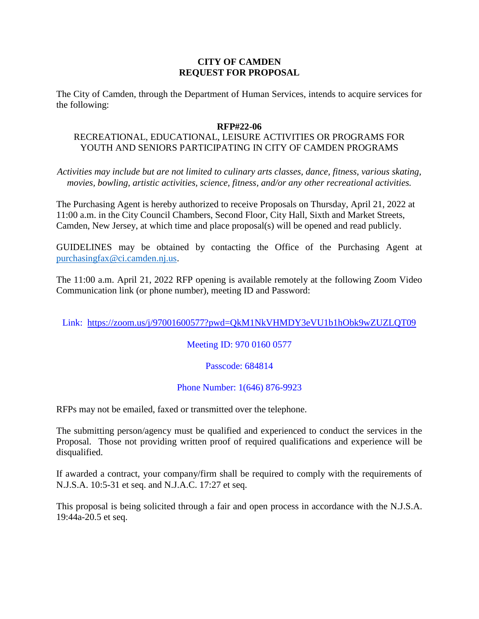### **CITY OF CAMDEN REQUEST FOR PROPOSAL**

The City of Camden, through the Department of Human Services, intends to acquire services for the following:

#### **RFP#22-06**

# RECREATIONAL, EDUCATIONAL, LEISURE ACTIVITIES OR PROGRAMS FOR YOUTH AND SENIORS PARTICIPATING IN CITY OF CAMDEN PROGRAMS

*Activities may include but are not limited to culinary arts classes, dance, fitness, various skating, movies, bowling, artistic activities, science, fitness, and/or any other recreational activities.*

The Purchasing Agent is hereby authorized to receive Proposals on Thursday, April 21, 2022 at 11:00 a.m. in the City Council Chambers, Second Floor, City Hall, Sixth and Market Streets, Camden, New Jersey, at which time and place proposal(s) will be opened and read publicly.

GUIDELINES may be obtained by contacting the Office of the Purchasing Agent at [purchasingfax@ci.camden.nj.us.](mailto:purchasingfax@ci.camden.nj.us)

The 11:00 a.m. April 21, 2022 RFP opening is available remotely at the following Zoom Video Communication link (or phone number), meeting ID and Password:

Link: <https://zoom.us/j/97001600577?pwd=QkM1NkVHMDY3eVU1b1hObk9wZUZLQT09>

### Meeting ID: 970 0160 0577

# Passcode: 684814

### Phone Number: 1(646) 876-9923

RFPs may not be emailed, faxed or transmitted over the telephone.

The submitting person/agency must be qualified and experienced to conduct the services in the Proposal. Those not providing written proof of required qualifications and experience will be disqualified.

If awarded a contract, your company/firm shall be required to comply with the requirements of N.J.S.A. 10:5-31 et seq. and N.J.A.C. 17:27 et seq.

This proposal is being solicited through a fair and open process in accordance with the N.J.S.A. 19:44a-20.5 et seq.